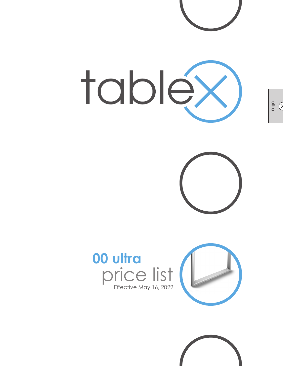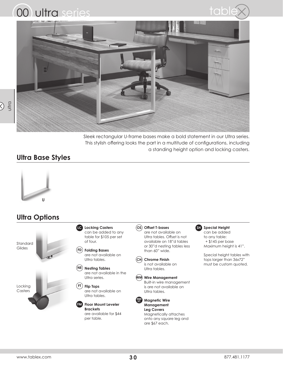





Sleek rectangular U-frame bases make a bold statement in our Ultra series. This stylish offering looks the part in a multitude of configurations, including a standing height option and locking casters.

### **Ultra Base Styles**



## **Ultra Options**

Standard Glides

Locking **Casters** 

**Locking Casters LC** can be added to any table for \$105 per set of four.

#### **Folding Bases FD** are not available on Ultra tables.

**Nesting Tables NE** are not available in the Ultra series.

**Flip Tops FT** are not available on Ultra tables.

**FM** Floor Mount Leveler **Brackets** are available for \$44 per table.

**OS Offset T-bases** are not available on Ultra tables. Offset is not available on 18"d tables or 30"d nesting tables less than 60" wide.

**Chrome Finish CH** is not available on Ultra tables.

**Wire Management WM** Built-in wire management is are not available on Ultra tables.



**Leg Covers** Magnetically attaches onto any square leg and are \$67 each.

**Special Height SH**

can be added to any table: + \$145 per base Maximum height is 41".

Special height tables with tops larger than 36x72" must be custom quoted.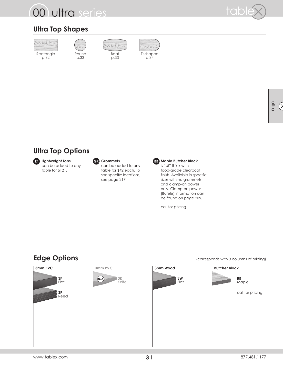# 00 ultra series



## **Ultra Top Shapes**





p.33

Boat p.33



ultra  $\circ$ 

## **Ultra Top Options**

**Lightweight Tops GR Grommets BB** can be added to any table for \$121.



#### can be added to any table for \$42 each. To see specific locations, see page 217.



is 1.5" thick with food-grade clearcoat finish. Available in specific sizes with no grommets and clamp-on power only. Clamp-on power (Burelé) information can be found on page 209.

call for pricing.

| 3mm PVC        | 3mm PVC                         | 3mm Wood       | <b>Butcher Block</b> |
|----------------|---------------------------------|----------------|----------------------|
| $\frac{3P}{F}$ | $3\mathrm{K}$<br>(N/A)<br>Knife | $\frac{3W}{F}$ | <b>BB</b><br>Maple   |
| $3P$<br>Reed   |                                 |                | call for pricing.    |
|                |                                 |                |                      |
|                |                                 |                |                      |
|                |                                 |                |                      |

### **Edge Options** (corresponds with 3 columns of pricing)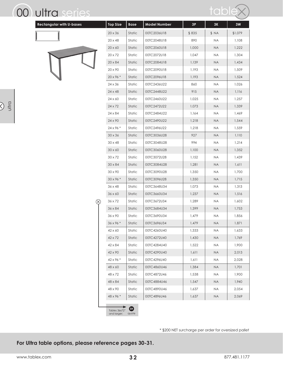## 00 ultra series

 $\frac{1}{2}$ 



| <b>Rectangular with U-bases</b> | <b>Top Size</b>  | <b>Base</b> | <b>Model Number</b> | 3P    | 3K        | $3W$    |
|---------------------------------|------------------|-------------|---------------------|-------|-----------|---------|
|                                 | $20\times36$     | Static      | 00TC2036U18         | \$835 | \$ NA     | \$1,079 |
|                                 | 20 x 48          | Static      | 00TC2048U18         | 890   | <b>NA</b> | 1,108   |
|                                 | $20 \times 60$   | Static      | 00TC2060U18         | 1,000 | <b>NA</b> | 1,222   |
|                                 | $20 \times 72$   | Static      | 00TC2072U18         | 1,047 | <b>NA</b> | 1,304   |
|                                 | $20\times84$     | Static      | 00TC2084U18         | 1,139 | <b>NA</b> | 1,434   |
|                                 | 20 x 90          | Static      | 00TC2090U18         | 1,193 | <b>NA</b> | 1,509   |
|                                 | $20 \times 96$ * | Static      | 00TC2096U18         | 1,193 | <b>NA</b> | 1,524   |
|                                 | 24 x 36          | Static      | 00TC2436U22         | 860   | NA        | 1,026   |
|                                 | 24 x 48          | Static      | 00TC2448U22         | 915   | <b>NA</b> | 1,116   |
|                                 | 24 x 60          | Static      | 00TC2460U22         | 1,025 | <b>NA</b> | 1,257   |
|                                 | $24 \times 72$   | Static      | 00TC2472U22         | 1,073 | <b>NA</b> | 1,339   |
|                                 | 24 x 84          | Static      | 00TC2484U22         | 1,164 | <b>NA</b> | 1,469   |
|                                 | 24 x 90          | Static      | 00TC2490U22         | 1,218 | <b>NA</b> | 1,544   |
|                                 | 24 x 96 *        | Static      | 00TC2496U22         | 1,218 | <b>NA</b> | 1,559   |
|                                 | $30 \times 36$   | Static      | 00TC3036U28         | 927   | <b>NA</b> | 1,110   |
|                                 | $30 \times 48$   | Static      | 00TC3048U28         | 994   | <b>NA</b> | 1,214   |
|                                 | $30\times60$     | Static      | 00TC3060U28         | 1,100 | <b>NA</b> | 1,352   |
|                                 | $30 \times 72$   | Static      | 00TC3072U28         | 1,152 | <b>NA</b> | 1,439   |
|                                 | $30 \times 84$   | Static      | 00TC3084U28         | 1,281 | <b>NA</b> | 1,611   |
|                                 | $30 \times 90$   | Static      | 00TC3090U28         | 1,350 | <b>NA</b> | 1,700   |
|                                 | 30 x 96 *        | Static      | 00TC3096U28         | 1,350 | <b>NA</b> | 1,715   |
|                                 | $36 \times 48$   | Static      | 00TC3648U34         | 1,073 | NA.       | 1,313   |
|                                 | 36 x 60          | Static      | 00TC3660U34         | 1,237 | <b>NA</b> | 1,516   |
| $(\!\times\!)$                  | 36 x 72          | Static      | 00TC3672U34         | 1,289 | <b>NA</b> | 1,602   |
|                                 | 36 x 84          | Static      | 00TC3684U34         | 1,399 | <b>NA</b> | 1,753   |
|                                 | 36 x 90          | Static      | 00TC3690U34         | 1,479 | <b>NA</b> | 1,856   |
|                                 | 36 x 96*         | Static      | 00TC3696U34         | 1,479 | <b>NA</b> | 1,871   |
|                                 | 42 x 60          | Static      | 00TC4260U40         | 1,333 | <b>NA</b> | 1,633   |
|                                 | 42 x 72          | Static      | 00TC4272U40         | 1,430 | <b>NA</b> | 1,769   |
|                                 | 42 x 84          | Static      | 00TC4284U40         | 1,522 | NA        | 1,900   |
|                                 | 42 x 90          | Static      | 00TC4290U40         | 1,611 | <b>NA</b> | 2,013   |
|                                 | 42 x 96 *        | Static      | 00TC4296U40         | 1,611 | <b>NA</b> | 2,028   |
|                                 | 48 x 60          | Static      | 00TC4860U46         | 1,384 | <b>NA</b> | 1,701   |
|                                 | 48 x 72          | Static      | 00TC4872U46         | 1,538 | <b>NA</b> | 1,900   |
|                                 | 48 x 84          | Static      | 00TC4884U46         | 1,547 | <b>NA</b> | 1,940   |
|                                 | 48 x 90          | Static      | 00TC4890U46         | 1,637 | <b>NA</b> | 2,054   |
|                                 | 48 x 96 *        | Static      | 00TC4896U46         | 1,637 | <b>NA</b> | 2,069   |

\* \$200 NET surcharge per order for oversized pallet

**For Ultra table options, please reference pages 30-31.**

**SH** quote

Tables 36x72" and larger: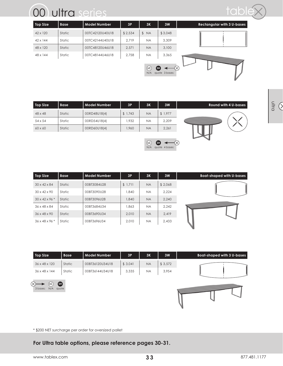| <b>Top Size</b> | <b>Base</b> | <b>Model Number</b> | 3P      | 3K          | 3W                    | <b>Rectangular with 3 U-bases</b> |
|-----------------|-------------|---------------------|---------|-------------|-----------------------|-----------------------------------|
| $42 \times 120$ | Static      | 00TC42120U40U18     | \$2,534 | \$ NA       | \$3,048               |                                   |
| $42 \times 144$ | Static      | 00TC42144U40U18     | 2.719   | <b>NA</b>   | 3,309                 |                                   |
| 48 x 120        | Static      | 00TC48120U46U18     | 2,571   | <b>NA</b>   | 3,100                 |                                   |
| 48 x 144        | Static      | 00TC48144U46U18     | 2,758   | <b>NA</b>   | 3,365                 |                                   |
|                 |             |                     |         | (IC)<br>N/A | GD)<br>quote 3 bases: |                                   |

table

| <b>Top Size</b> | <b>Base</b> | Model Number | 3P      | 3K        | 3W      | <b>Round with 4 U-bases</b> |
|-----------------|-------------|--------------|---------|-----------|---------|-----------------------------|
| $48 \times 48$  | Static      | 00RD48U18(4) | \$1,743 | <b>NA</b> | \$1,977 |                             |
| $54 \times 54$  | Static      | 00RD54U18(4) | 1.932   | <b>NA</b> | 2.209   |                             |
| $60 \times 60$  | Static      | 00RD60U18(4) | 1,960   | <b>NA</b> | 2,261   |                             |
|                 |             |              |         |           |         |                             |

4 bases:

**SH** quote

**LC** N/A

| <b>Top Size</b>            | <b>Base</b> | <b>Model Number</b> | 3P      | 3K        | 3W      |
|----------------------------|-------------|---------------------|---------|-----------|---------|
| $30 \times 42 \times 84$   | Static      | 00BT3084U28         | \$1,711 | <b>NA</b> | \$2,068 |
| $30 \times 42 \times 90$   | Static      | 00BT3090U28         | 1,840   | <b>NA</b> | 2.224   |
| $30 \times 42 \times 96$ * | Static      | 00BT3096U28         | 1,840   | <b>NA</b> | 2,240   |
| $36 \times 48 \times 84$   | Static      | 00BT3684U34         | .863    | <b>NA</b> | 2.242   |
| $36 \times 48 \times 90$   | Static      | 00BT3690U34         | 2,010   | <b>NA</b> | 2,419   |
| $36 \times 48 \times 96$ * | Static      | 00BT3696U34         | 2.010   | <b>NA</b> | 2.433   |

| \$3,572<br>36 x 48 x 120<br>Static<br>\$3,041<br>00BT36120U34U18<br><b>NA</b><br>3,335<br>Static<br>3,954<br>00BT36144U34U18<br>$36 \times 48 \times 144$<br><b>NA</b> | Top Size | <b>Base</b> | <b>Model Number</b> | 3P | 3K | 3W | <b>Boat-shaped with 3 U-bases</b> |
|------------------------------------------------------------------------------------------------------------------------------------------------------------------------|----------|-------------|---------------------|----|----|----|-----------------------------------|
|                                                                                                                                                                        |          |             |                     |    |    |    |                                   |
|                                                                                                                                                                        |          |             |                     |    |    |    |                                   |





\* \$200 NET surcharge per order for oversized pallet

### **For Ultra table options, please reference pages 30-31.**